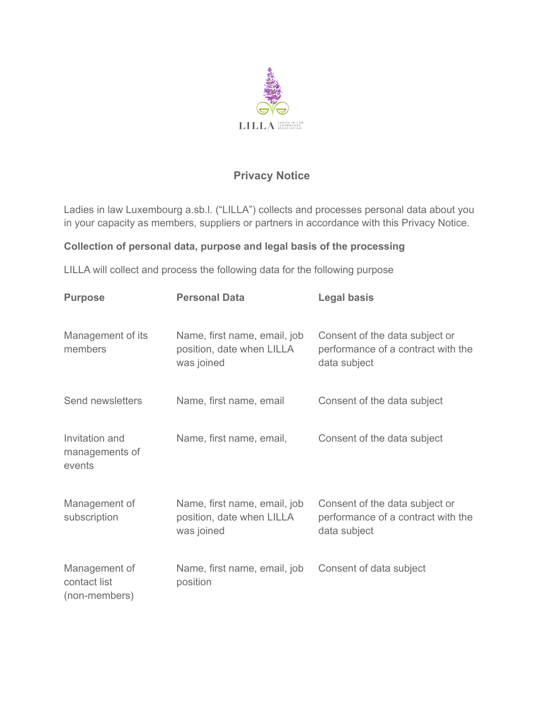

# **Privacy Notice**

Ladies in law Luxembourg a.sb.l. ("LILLA") collects and processes personal data about you in your capacity as members, suppliers or partners in accordance with this Privacy Notice.

## **Collection of personal data, purpose and legal basis of the processing**

LILLA will collect and process the following data for the following purpose

| <b>Purpose</b>                                 | <b>Personal Data</b>                                                    | <b>Legal basis</b>                                                                   |
|------------------------------------------------|-------------------------------------------------------------------------|--------------------------------------------------------------------------------------|
| Management of its<br>members                   | Name, first name, email, job<br>position, date when LILLA<br>was joined | Consent of the data subject or<br>performance of a contract with the<br>data subject |
| Send newsletters                               | Name, first name, email                                                 | Consent of the data subject                                                          |
| Invitation and<br>managements of<br>events     | Name, first name, email,                                                | Consent of the data subject                                                          |
| Management of<br>subscription                  | Name, first name, email, job<br>position, date when LILLA<br>was joined | Consent of the data subject or<br>performance of a contract with the<br>data subject |
| Management of<br>contact list<br>(non-members) | Name, first name, email, job<br>position                                | Consent of data subject                                                              |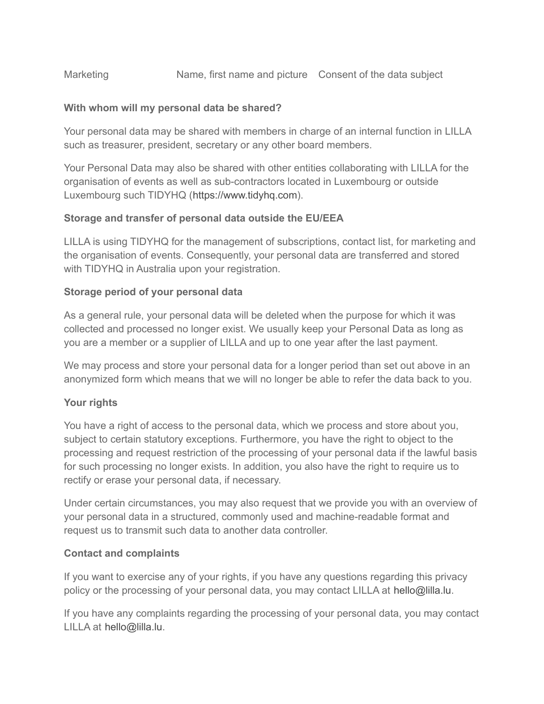## Marketing Mame, first name and picture Consent of the data subject

### **With whom will my personal data be shared?**

Your personal data may be shared with members in charge of an internal function in LILLA such as treasurer, president, secretary or any other board members.

Your Personal Data may also be shared with other entities collaborating with LILLA for the organisation of events as well as sub-contractors located in Luxembourg or outside Luxembourg such TIDYHQ ([https://www.tidyhq.com\)](https://www.tidyhq.com/).

### **Storage and transfer of personal data outside the EU/EEA**

LILLA is using TIDYHQ for the management of subscriptions, contact list, for marketing and the organisation of events. Consequently, your personal data are transferred and stored with TIDYHQ in Australia upon your registration.

#### **Storage period of your personal data**

As a general rule, your personal data will be deleted when the purpose for which it was collected and processed no longer exist. We usually keep your Personal Data as long as you are a member or a supplier of LILLA and up to one year after the last payment.

We may process and store your personal data for a longer period than set out above in an anonymized form which means that we will no longer be able to refer the data back to you.

#### **Your rights**

You have a right of access to the personal data, which we process and store about you, subject to certain statutory exceptions. Furthermore, you have the right to object to the processing and request restriction of the processing of your personal data if the lawful basis for such processing no longer exists. In addition, you also have the right to require us to rectify or erase your personal data, if necessary.

Under certain circumstances, you may also request that we provide you with an overview of your personal data in a structured, commonly used and machine-readable format and request us to transmit such data to another data controller.

#### **Contact and complaints**

If you want to exercise any of your rights, if you have any questions regarding this privacy policy or the processing of your personal data, you may contact LILLA at hello@lilla.lu.

If you have any complaints regarding the processing of your personal data, you may contact LILLA at hello@lilla.lu.